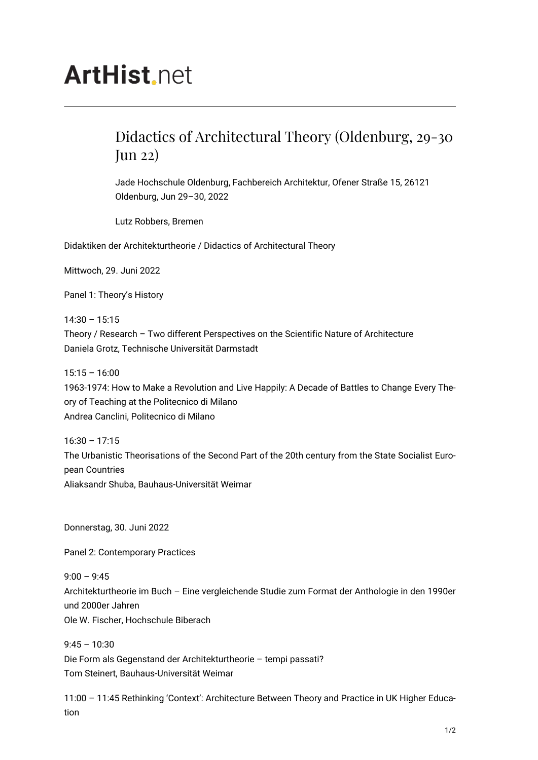## **ArtHist**, net

## Didactics of Architectural Theory (Oldenburg, 29-30 Jun 22)

Jade Hochschule Oldenburg, Fachbereich Architektur, Ofener Straße 15, 26121 Oldenburg, Jun 29–30, 2022

Lutz Robbers, Bremen

Didaktiken der Architekturtheorie / Didactics of Architectural Theory

Mittwoch, 29. Juni 2022

Panel 1: Theory's History

14:30 – 15:15 Theory / Research – Two different Perspectives on the Scientific Nature of Architecture Daniela Grotz, Technische Universität Darmstadt

 $15:15 - 16:00$ 

1963-1974: How to Make a Revolution and Live Happily: A Decade of Battles to Change Every Theory of Teaching at the Politecnico di Milano Andrea Canclini, Politecnico di Milano

16:30 – 17:15 The Urbanistic Theorisations of the Second Part of the 20th century from the State Socialist European Countries Aliaksandr Shuba, Bauhaus-Universität Weimar

Donnerstag, 30. Juni 2022

Panel 2: Contemporary Practices

 $9:00 - 9:45$ Architekturtheorie im Buch – Eine vergleichende Studie zum Format der Anthologie in den 1990er und 2000er Jahren Ole W. Fischer, Hochschule Biberach

 $9:45 - 10:30$ 

Die Form als Gegenstand der Architekturtheorie – tempi passati? Tom Steinert, Bauhaus-Universität Weimar

11:00 – 11:45 Rethinking 'Context': Architecture Between Theory and Practice in UK Higher Education